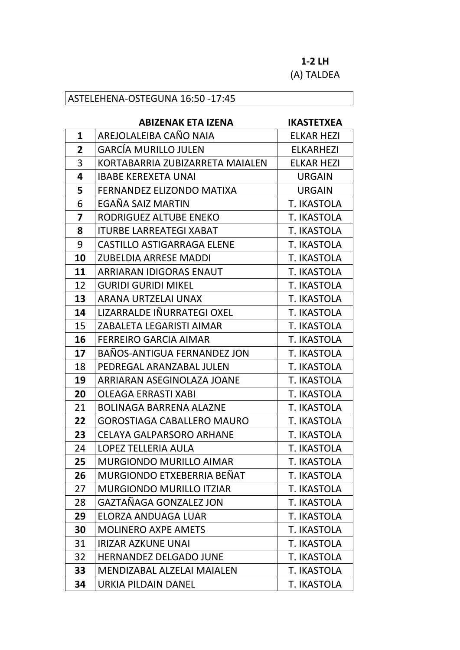## **1-2 LH** (A) TALDEA

## ASTELEHENA-OSTEGUNA 16:50 -17:45

## **ABIZENAK ETA IZENA IKASTETXEA**

| 1                       | AREJOLALEIBA CAÑO NAIA            | <b>ELKAR HEZI</b>  |
|-------------------------|-----------------------------------|--------------------|
| 2                       | <b>GARCÍA MURILLO JULEN</b>       | <b>ELKARHEZI</b>   |
| 3                       | KORTABARRIA ZUBIZARRETA MAIALEN   | <b>ELKAR HEZI</b>  |
| 4                       | <b>IBABE KEREXETA UNAI</b>        | <b>URGAIN</b>      |
| 5                       | FERNANDEZ ELIZONDO MATIXA         | <b>URGAIN</b>      |
| 6                       | EGAÑA SAIZ MARTIN                 | T. IKASTOLA        |
| $\overline{\mathbf{z}}$ | RODRIGUEZ ALTUBE ENEKO            | T. IKASTOLA        |
| 8                       | <b>ITURBE LARREATEGI XABAT</b>    | T. IKASTOLA        |
| 9                       | <b>CASTILLO ASTIGARRAGA ELENE</b> | T. IKASTOLA        |
| 10                      | <b>ZUBELDIA ARRESE MADDI</b>      | T. IKASTOLA        |
| 11                      | <b>ARRIARAN IDIGORAS ENAUT</b>    | T. IKASTOLA        |
| 12                      | <b>GURIDI GURIDI MIKEL</b>        | T. IKASTOLA        |
| 13                      | ARANA URTZELAI UNAX               | T. IKASTOLA        |
| 14                      | LIZARRALDE IÑURRATEGI OXEL        | T. IKASTOLA        |
| 15                      | ZABALETA LEGARISTI AIMAR          | T. IKASTOLA        |
| 16                      | <b>FERREIRO GARCIA AIMAR</b>      | <b>T. IKASTOLA</b> |
| 17                      | BAÑOS-ANTIGUA FERNANDEZ JON       | T. IKASTOLA        |
| 18                      | PEDREGAL ARANZABAL JULEN          | T. IKASTOLA        |
| 19                      | ARRIARAN ASEGINOLAZA JOANE        | T. IKASTOLA        |
| 20                      | <b>OLEAGA ERRASTI XABI</b>        | T. IKASTOLA        |
| 21                      | <b>BOLINAGA BARRENA ALAZNE</b>    | T. IKASTOLA        |
| 22                      | <b>GOROSTIAGA CABALLERO MAURO</b> | T. IKASTOLA        |
| 23                      | <b>CELAYA GALPARSORO ARHANE</b>   | T. IKASTOLA        |
| 24                      | LOPEZ TELLERIA AULA               | T. IKASTOLA        |
| 25                      | <b>MURGIONDO MURILLO AIMAR</b>    | <b>T. IKASTOLA</b> |
| 26                      | MURGIONDO ETXEBERRIA BEÑAT        | T. IKASTOLA        |
| 27                      | <b>MURGIONDO MURILLO ITZIAR</b>   | T. IKASTOLA        |
| 28                      | <b>GAZTAÑAGA GONZALEZ JON</b>     | T. IKASTOLA        |
| 29                      | ELORZA ANDUAGA LUAR               | T. IKASTOLA        |
| 30                      | <b>MOLINERO AXPE AMETS</b>        | T. IKASTOLA        |
| 31                      | <b>IRIZAR AZKUNE UNAI</b>         | T. IKASTOLA        |
| 32                      | <b>HERNANDEZ DELGADO JUNE</b>     | <b>T. IKASTOLA</b> |
| 33                      | MENDIZABAL ALZELAI MAIALEN        | T. IKASTOLA        |
| 34                      | URKIA PILDAIN DANEL               | T. IKASTOLA        |